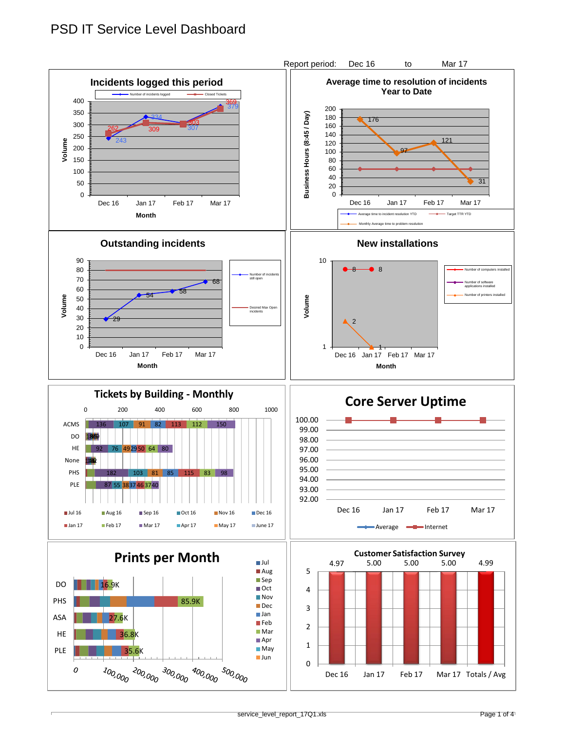## PSD IT Service Level Dashboard

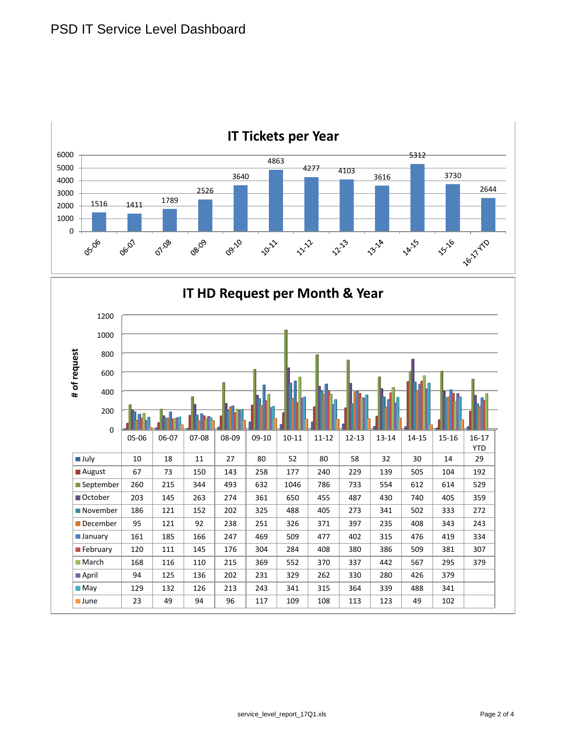

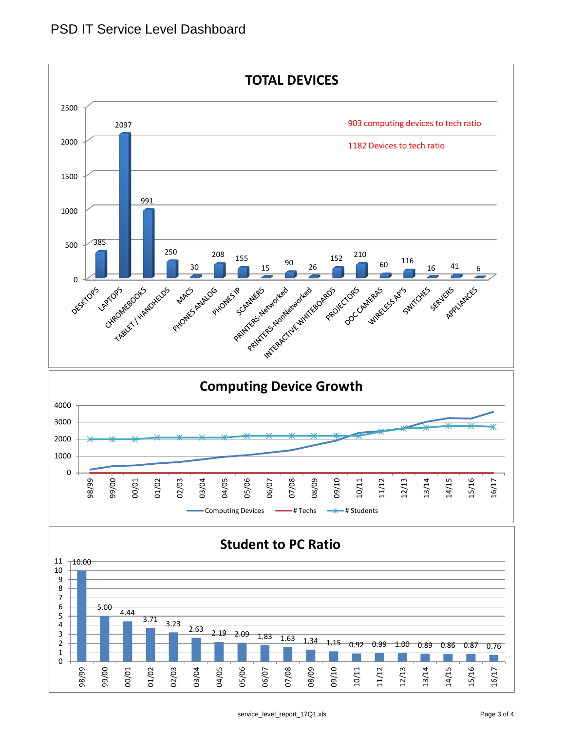